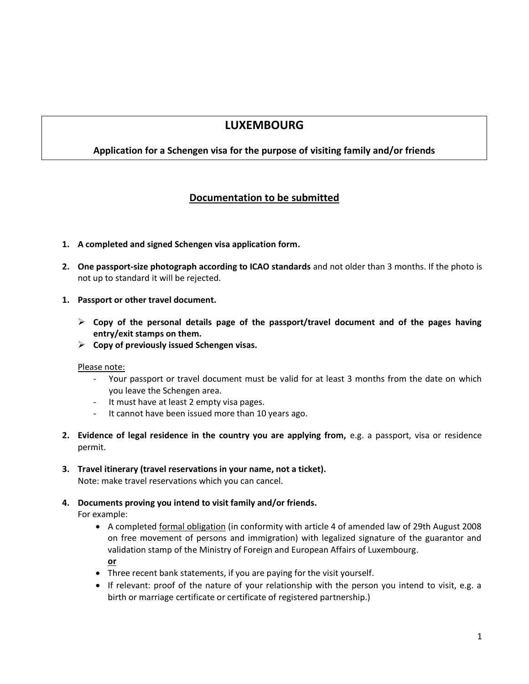# **LUXEMBOURG**

### **Application for a Schengen visa for the purpose of visiting family and/or friends**

## **Documentation to be submitted**

- **1. A completed and signed Schengen visa application form.**
- **2. One passport-size photograph according to ICAO standards** and not older than 3 months. If the photo is not up to standard it will be rejected.
- **1. Passport or other travel document.**
	- **Copy of the personal details page of the passport/travel document and of the pages having entry/exit stamps on them.**
	- **Copy of previously issued Schengen visas.**

#### Please note:

- Your passport or travel document must be valid for at least 3 months from the date on which you leave the Schengen area.
- It must have at least 2 empty visa pages.
- It cannot have been issued more than 10 years ago.
- **2. Evidence of legal residence in the country you are applying from,** e.g. a passport, visa or residence permit.
- **3. Travel itinerary (travel reservations in your name, not a ticket).** Note: make travel reservations which you can cancel.
- **4. Documents proving you intend to visit family and/or friends.**

For example:

- A completed formal obligation (in conformity with article 4 of amended law of 29th August 2008 on free movement of persons and immigration) with legalized signature of the guarantor and validation stamp of the Ministry of Foreign and European Affairs of Luxembourg. **or**
- Three recent bank statements, if you are paying for the visit yourself.
- If relevant: proof of the nature of your relationship with the person you intend to visit, e.g. a birth or marriage certificate or certificate of registered partnership.)